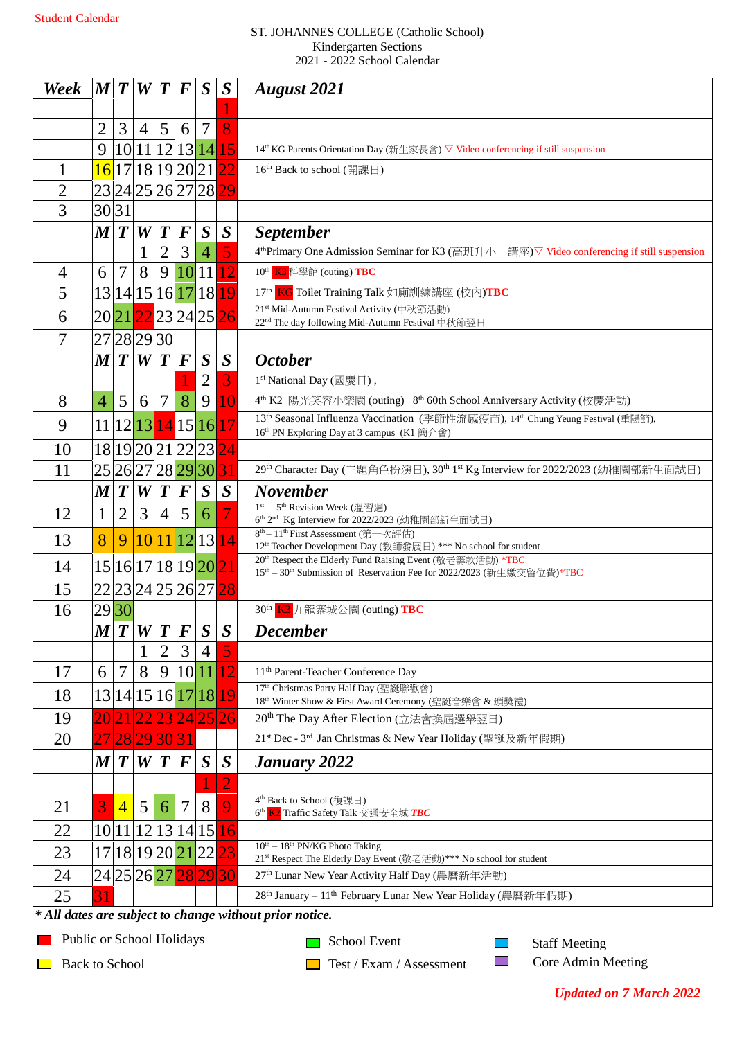## ST. JOHANNES COLLEGE (Catholic School) Kindergarten Sections 2021 - 2022 School Calendar

| Week           | M T              |                  | W              | $\boldsymbol{T}$ | $\bm{F}$ | $\boldsymbol{S}$     | S                | August $2021$                                                                                                                                                     |
|----------------|------------------|------------------|----------------|------------------|----------|----------------------|------------------|-------------------------------------------------------------------------------------------------------------------------------------------------------------------|
|                |                  |                  |                |                  |          |                      |                  |                                                                                                                                                                   |
|                | 2                | 3                | $\overline{4}$ | 5                | 6        | 7                    | 8                |                                                                                                                                                                   |
|                | 9                |                  | 10 11          |                  |          | 12 13 14             | 15               | 14 <sup>th</sup> KG Parents Orientation Day (新生家長會) ▽ Video conferencing if still suspension                                                                      |
| 1              |                  |                  |                |                  |          | $16$  17 18 19 20 21 | 22               | 16 <sup>th</sup> Back to school (開課日)                                                                                                                             |
| $\overline{2}$ |                  |                  |                |                  |          | 23 24 25 26 27 28 29 |                  |                                                                                                                                                                   |
| 3              | 30 31            |                  |                |                  |          |                      |                  |                                                                                                                                                                   |
|                | $\boldsymbol{M}$ | $\boldsymbol{T}$ | W              | $\boldsymbol{T}$ | $\bm{F}$ | $\boldsymbol{S}$     | $\boldsymbol{S}$ | <b>September</b>                                                                                                                                                  |
|                |                  |                  | $\mathbf{1}$   | $\overline{2}$   | 3        | $\overline{4}$       |                  | 4 <sup>th</sup> Primary One Admission Seminar for K3 (高班升小一講座)▽ Video conferencing if still suspension                                                            |
| $\overline{4}$ | 6                | $\overline{7}$   | 8              | 9                | 10       | 11                   | 12               | 10 <sup>th</sup> K3 科學館 (outing) TBC                                                                                                                              |
| 5              |                  | 13 14 15 16 17   |                |                  |          | 18                   | 19               | 17 <sup>th</sup> KG Toilet Training Talk 如廁訓練講座 (校內)TBC                                                                                                           |
| 6              |                  |                  |                |                  |          | 202122232425         | 26               | 21 <sup>st</sup> Mid-Autumn Festival Activity (中秋節活動)<br>22 <sup>nd</sup> The day following Mid-Autumn Festival 中秋節翌日                                             |
| $\overline{7}$ |                  | 27 28 29 30      |                |                  |          |                      |                  |                                                                                                                                                                   |
|                | M T              |                  | W              | $\boldsymbol{T}$ | $\bm{F}$ | S                    | S                | <b>October</b>                                                                                                                                                    |
|                |                  |                  |                |                  |          | $\overline{2}$       | 3                | 1 <sup>st</sup> National Day (國慶日),                                                                                                                               |
| 8              | $\overline{4}$   | 5                | 6              | $\overline{7}$   | 8        | 9                    | 10               | 4 <sup>th</sup> K2 陽光笑容小樂園 (outing) 8 <sup>th</sup> 60th School Anniversary Activity (校慶活動)                                                                       |
| 9              |                  |                  |                |                  |          | 11 12 13 14 15 16    | 17               | 13 <sup>th</sup> Seasonal Influenza Vaccination (季節性流感疫苗), 14 <sup>th</sup> Chung Yeung Festival (重陽節),<br>16 <sup>th</sup> PN Exploring Day at 3 campus (K1 簡介會) |
| 10             |                  |                  |                |                  |          | 18 19 20 21 22 23    | $\overline{24}$  |                                                                                                                                                                   |
| 11             |                  |                  |                |                  |          | 25 26 27 28 29 30    | 31               | 29th Character Day (主題角色扮演日), 30th 1st Kg Interview for 2022/2023 (幼稚園部新生面試日)                                                                                     |
|                | $\boldsymbol{M}$ | $\boldsymbol{T}$ | W              | $\boldsymbol{T}$ | $\bm{F}$ | $\boldsymbol{S}$     | $\boldsymbol{S}$ | <b>November</b>                                                                                                                                                   |
| 12             | 1                | $\overline{2}$   | 3              | $\overline{4}$   | 5        | 6                    |                  | 1 <sup>st</sup> - 5 <sup>th</sup> Revision Week (溫習週)                                                                                                             |
| 13             | 8                | 9                | 10             |                  | 11 12    | 13                   | 14               | 6 <sup>th</sup> 2 <sup>nd</sup> Kg Interview for 2022/2023 (幼稚園部新生面試日)<br>8 <sup>th</sup> - 11 <sup>th</sup> First Assessment (第一次評估)                             |
|                |                  |                  |                |                  |          |                      |                  | 12 <sup>th</sup> Teacher Development Day (教師發展日) *** No school for student<br>20 <sup>th</sup> Respect the Elderly Fund Raising Event (敬老籌款活動) *TBC               |
| 14             |                  |                  |                |                  |          | 15 16 17 18 19 20 21 |                  | 15 <sup>th</sup> - 30 <sup>th</sup> Submission of Reservation Fee for 2022/2023 (新生繳交留位費)*TBC                                                                     |
| 15             |                  |                  |                |                  |          | 22232425262728       |                  |                                                                                                                                                                   |
| 16             | 29 30            |                  |                |                  |          |                      |                  | 30 <sup>th</sup> K3 九龍寨城公園 (outing) TBC                                                                                                                           |
|                | $\boldsymbol{M}$ | $\boldsymbol{T}$ | W              | $\boldsymbol{T}$ | $\bm{F}$ | $\boldsymbol{S}$     | $\boldsymbol{S}$ | <b>December</b>                                                                                                                                                   |
|                |                  |                  | 1              | $\overline{2}$   | 3        | $\overline{4}$       |                  |                                                                                                                                                                   |
| 17             | 6                | $\overline{7}$   | 8              | 9                | 10       | 11                   | 12               | 11 <sup>th</sup> Parent-Teacher Conference Day                                                                                                                    |
| 18             |                  |                  |                |                  |          | 13 14 15 16 17 18    | 19               | 17 <sup>th</sup> Christmas Party Half Day (聖誕聯歡會)<br>18 <sup>th</sup> Winter Show & First Award Ceremony (聖誕音樂會 & 頒獎禮)                                            |
| 19             |                  |                  |                |                  |          | 23 24 25 26          |                  | 20 <sup>th</sup> The Day After Election (立法會換屆選舉翌日)                                                                                                               |
| 20             |                  | 27 28 29 30 31   |                |                  |          |                      |                  | 21st Dec - 3rd Jan Christmas & New Year Holiday (聖誕及新年假期)                                                                                                         |
|                | $\boldsymbol{M}$ | $\boldsymbol{T}$ | W              | $\boldsymbol{T}$ | $\bm{F}$ | S                    | $\boldsymbol{S}$ | <b>January 2022</b>                                                                                                                                               |
|                |                  |                  |                |                  |          |                      | $\overline{2}$   |                                                                                                                                                                   |
| 21             | 3                | $\overline{4}$   | 5              | 6                | $\tau$   | 8                    | 9                | 4 <sup>th</sup> Back to School (復課日)<br>6 <sup>th</sup> K2 Traffic Safety Talk 交通安全城 TBC                                                                          |
| 22             | 10               | 11               | 12             |                  | 13 14    | 15                   | 16               |                                                                                                                                                                   |
| 23             |                  |                  |                |                  |          | 17 18 19 20 21 22    | 23               | $10^{th} - 18^{th}$ PN/KG Photo Taking                                                                                                                            |
| 24             |                  |                  |                |                  |          | 24 25 26 27 28 29 30 |                  | 21st Respect The Elderly Day Event (敬老活動) *** No school for student<br>27 <sup>th</sup> Lunar New Year Activity Half Day (農曆新年活動)                                 |
| 25             |                  |                  |                |                  |          |                      |                  | 28 <sup>th</sup> January - 11 <sup>th</sup> February Lunar New Year Holiday (農曆新年假期)                                                                              |
|                |                  |                  |                |                  |          |                      |                  | * All dates are subject to change without prior notice                                                                                                            |

*\* All dates are subject to change without prior notice.* 

**Public or School Holidays** 

School Event

**Back to School** 

 $\Box$  Test / Exam / Assessment

Staff Meeting Core Admin Meeting

 $\mathbb{R}^2$  $\mathcal{L}_{\mathcal{A}}$ 

*Updated on 7 March 2022*